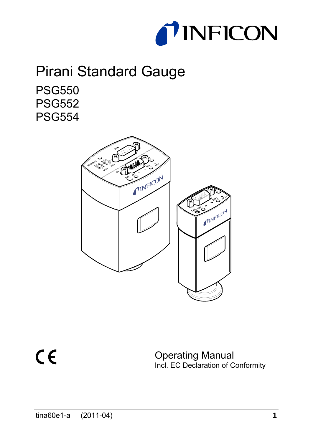

# Pirani Standard Gauge PSG550 PSG552 PSG554



 $C \in$ 

Operating Manual Incl. EC Declaration of Conformity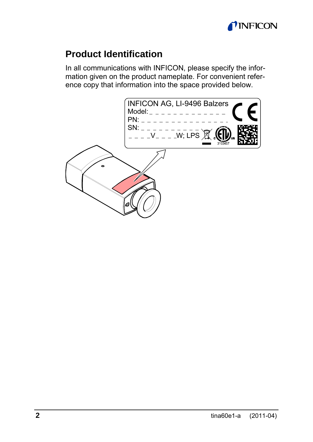

### **Product Identification**

In all communications with INFICON, please specify the information given on the product nameplate. For convenient reference copy that information into the space provided below.

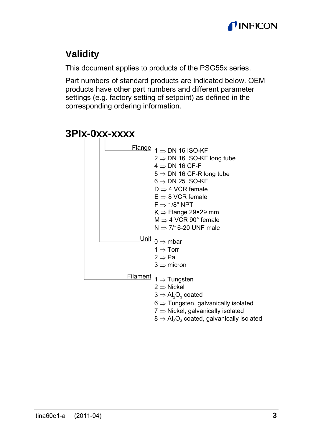

## **Validity**

This document applies to products of the PSG55x series.

Part numbers of standard products are indicated below. OEM products have other part numbers and different parameter settings (e.g. factory setting of setpoint) as defined in the corresponding ordering information.

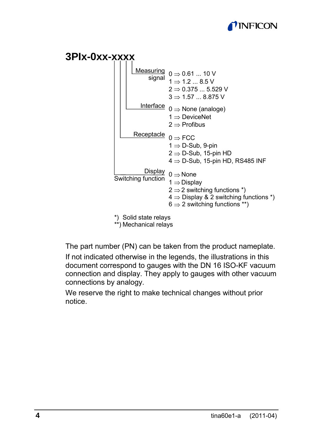



The part number (PN) can be taken from the product nameplate.

If not indicated otherwise in the legends, the illustrations in this document correspond to gauges with the DN 16 ISO-KF vacuum connection and display. They apply to gauges with other vacuum connections by analogy.

We reserve the right to make technical changes without prior notice.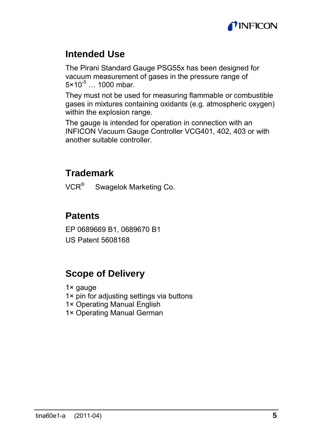

### **Intended Use**

The Pirani Standard Gauge PSG55x has been designed for vacuum measurement of gases in the pressure range of  $5 \times 10^{-5}$  ... 1000 mbar.

They must not be used for measuring flammable or combustible gases in mixtures containing oxidants (e.g. atmospheric oxygen) within the explosion range.

The gauge is intended for operation in connection with an INFICON Vacuum Gauge Controller VCG401, 402, 403 or with another suitable controller.

### **Trademark**

VCR<sup>®</sup> Swagelok Marketing Co.

### **Patents**

EP 0689669 B1, 0689670 B1 US Patent 5608168

### **Scope of Delivery**

1× gauge

- 1× pin for adjusting settings via buttons
- 1× Operating Manual English
- 1× Operating Manual German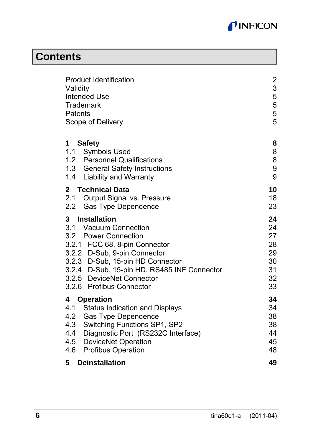

# **Contents**

| <b>Product Identification</b><br>Validity<br><b>Intended Use</b><br>Trademark<br>Patents<br>Scope of Delivery                                                                                                                                                                   | $\overline{c}$<br>3<br>5<br>5<br>5<br>5            |
|---------------------------------------------------------------------------------------------------------------------------------------------------------------------------------------------------------------------------------------------------------------------------------|----------------------------------------------------|
| Safety<br>1.<br>1.1 Symbols Used<br>1.2 Personnel Qualifications<br>1.3 General Safety Instructions<br>1.4 Liability and Warranty                                                                                                                                               | 8<br>8<br>8<br>9<br>9                              |
| Technical Data<br>2<br>2.1 Output Signal vs. Pressure<br>2.2 Gas Type Dependence                                                                                                                                                                                                | 10<br>18<br>23                                     |
| Installation<br>3<br>3.1 Vacuum Connection<br>3.2 Power Connection<br>3.2.1 FCC 68, 8-pin Connector<br>3.2.2 D-Sub, 9-pin Connector<br>3.2.3 D-Sub, 15-pin HD Connector<br>3.2.4 D-Sub, 15-pin HD, RS485 INF Connector<br>3.2.5 DeviceNet Connector<br>3.2.6 Profibus Connector | 24<br>24<br>27<br>28<br>29<br>30<br>31<br>32<br>33 |
| 4<br>Operation<br>4.1<br><b>Status Indication and Displays</b><br>4.2<br><b>Gas Type Dependence</b><br>4.3<br>Switching Functions SP1, SP2<br>4.4 Diagnostic Port (RS232C Interface)<br>4.5 DeviceNet Operation<br>4.6 Profibus Operation                                       | 34<br>34<br>38<br>38<br>44<br>45<br>48             |
| 5<br><b>Deinstallation</b>                                                                                                                                                                                                                                                      | 49                                                 |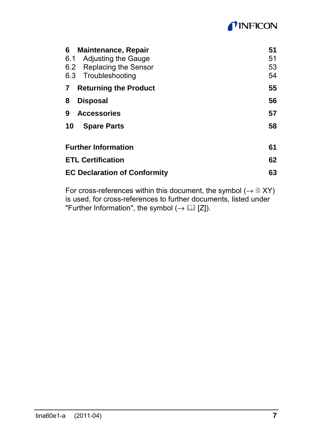# *TINFICON*

| 6   | <b>Maintenance, Repair</b>          | 51 |
|-----|-------------------------------------|----|
| 6.1 | <b>Adjusting the Gauge</b>          | 51 |
|     | 6.2 Replacing the Sensor            | 53 |
|     | 6.3 Troubleshooting                 | 54 |
| 7   | <b>Returning the Product</b>        | 55 |
| 8   | <b>Disposal</b>                     | 56 |
| 9   | <b>Accessories</b>                  | 57 |
| 10  | <b>Spare Parts</b>                  | 58 |
|     | <b>Further Information</b>          | 61 |
|     | <b>ETL Certification</b>            | 62 |
|     | <b>EC Declaration of Conformity</b> | 63 |

For cross-references within this document, the symbol (→ XY) is used, for cross-references to further documents, listed under "Further Information", the symbol  $(\rightarrow \Box \Box \Box)$ .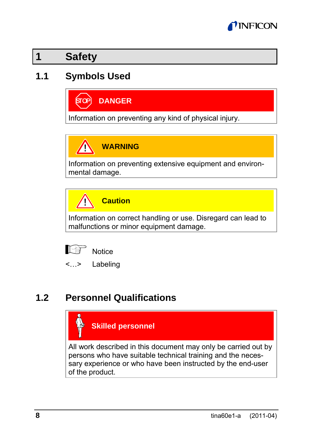

### **1 Safety**

### **1.1 Symbols Used**

**DANGER**

Information on preventing any kind of physical injury.

Λ **WARNING**

Information on preventing extensive equipment and environmental damage.

**Caution**

Information on correct handling or use. Disregard can lead to malfunctions or minor equipment damage.



T

<…> Labeling

### **1.2 Personnel Qualifications**



persons who have suitable technical training and the necessary experience or who have been instructed by the end-user of the product.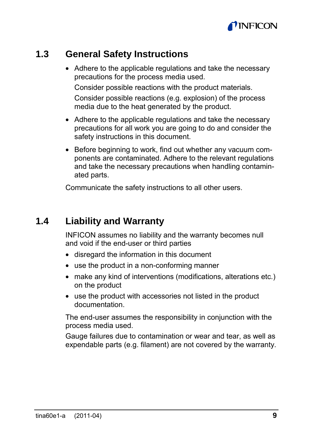

### **1.3 General Safety Instructions**

• Adhere to the applicable regulations and take the necessary precautions for the process media used. Consider possible reactions with the product materials. Consider possible reactions (e.g. explosion) of the process

- Adhere to the applicable regulations and take the necessary precautions for all work you are going to do and consider the safety instructions in this document.
- Before beginning to work, find out whether any vacuum components are contaminated. Adhere to the relevant regulations and take the necessary precautions when handling contaminated parts.

Communicate the safety instructions to all other users.

media due to the heat generated by the product.

### **1.4 Liability and Warranty**

INFICON assumes no liability and the warranty becomes null and void if the end-user or third parties

- disregard the information in this document
- use the product in a non-conforming manner
- make any kind of interventions (modifications, alterations etc.) on the product
- use the product with accessories not listed in the product documentation.

The end-user assumes the responsibility in conjunction with the process media used.

Gauge failures due to contamination or wear and tear, as well as expendable parts (e.g. filament) are not covered by the warranty.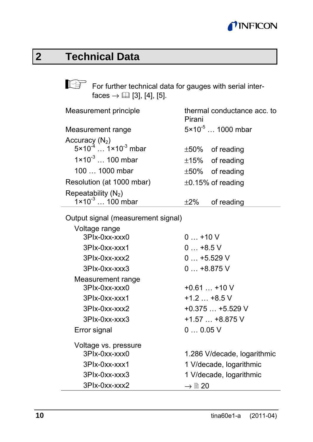

# **2 Technical Data**

For further technical data for gauges with serial inter $faces \rightarrow \Box$  [3], [4], [5].

| Measurement principle                                          | Pirani | thermal conductance acc. to  |
|----------------------------------------------------------------|--------|------------------------------|
| Measurement range                                              |        | $5 \times 10^{-5}$ 1000 mbar |
| Accuracy $(N_2)$<br>5×10 <sup>-4</sup> 1×10 <sup>-3</sup> mbar |        |                              |
|                                                                |        | $\pm 50\%$ of reading        |
| $1 \times 10^{-3}$ 100 mbar                                    |        | $±15\%$ of reading           |
| $1001000$ mbar                                                 |        | $±50\%$ of reading           |
| Resolution (at 1000 mbar)                                      |        | $\pm 0.15\%$ of reading      |
| Repeatability $(N_2)$<br>1×10 <sup>-3</sup> 100 mbar           |        |                              |
|                                                                | $+2%$  | of reading                   |

Output signal (measurement signal)

| Voltage range        |                             |
|----------------------|-----------------------------|
| 3Plx-0xx-xxx0        | $0+10V$                     |
| 3Plx-0xx-xxx1        | $0+8.5$ V                   |
| 3Plx-0xx-xxx2        | $0+5.529$ V                 |
| 3Plx-0xx-xxx3        | $0+8.875$ V                 |
| Measurement range    |                             |
| $3P1x-0xx-xxx0$      | $+0.61+10$ V                |
| 3Plx-0xx-xxx1        | $+1.2$ $+8.5$ V             |
| 3Plx-0xx-xxx2        | $+0.375+5.529$ V            |
| 3Plx-0xx-xxx3        | $+1.57+8.875$ V             |
| Error signal         | 00.05V                      |
| Voltage vs. pressure |                             |
| 3Plx-0xx-xxx0        | 1.286 V/decade, logarithmic |
| 3Plx-0xx-xxx1        | 1 V/decade, logarithmic     |
| 3Plx-0xx-xxx3        | 1 V/decade, logarithmic     |
| 3Plx-0xx-xxx2        | $\rightarrow$ 0 20          |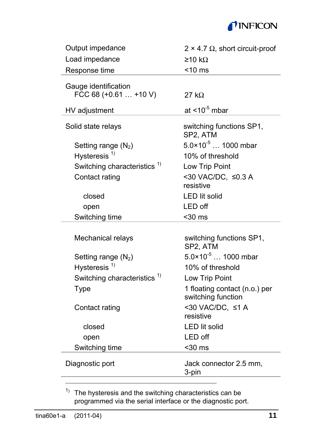### *I*INFICON

| Output impedance                              | $2 \times 4.7 \Omega$ , short circuit-proof         |  |
|-----------------------------------------------|-----------------------------------------------------|--|
| Load impedance                                | $\geq$ 10 kO                                        |  |
| Response time                                 | $<$ 10 $ms$                                         |  |
| Gauge identification<br>FCC 68 $(+0.61+10 V)$ | $27 k\Omega$                                        |  |
| HV adjustment                                 | at $<$ 10 <sup>-5</sup> mbar                        |  |
| Solid state relays                            | switching functions SP1,<br>SP2, ATM                |  |
| Setting range $(N_2)$                         | $5.0 \times 10^{-5}$ 1000 mbar                      |  |
| Hysteresis <sup>1)</sup>                      | 10% of threshold                                    |  |
| Switching characteristics <sup>1)</sup>       | Low Trip Point                                      |  |
| Contact rating                                | <30 VAC/DC. ≤0.3 A<br>resistive                     |  |
| closed                                        | <b>LED lit solid</b>                                |  |
| open                                          | LED off                                             |  |
| Switching time                                | $30$ ms                                             |  |
| Mechanical relays                             | switching functions SP1,<br>SP2, ATM                |  |
| Setting range (N <sub>2</sub> )               | $5.0 \times 10^{-5}$ 1000 mbar                      |  |
| Hysteresis $1)$                               | 10% of threshold                                    |  |
| Switching characteristics                     | Low Trip Point                                      |  |
| Type                                          | 1 floating contact (n.o.) per<br>switching function |  |
| Contact rating                                | <30 VAC/DC, ≤1 A<br>resistive                       |  |
| closed                                        | <b>LED</b> lit solid                                |  |
| open                                          | LED off                                             |  |
| Switching time                                | $30$ ms                                             |  |
| Diagnostic port                               | Jack connector 2.5 mm,<br>3-pin                     |  |

<sup>1)</sup> The hysteresis and the switching characteristics can be programmed via the serial interface or the diagnostic port.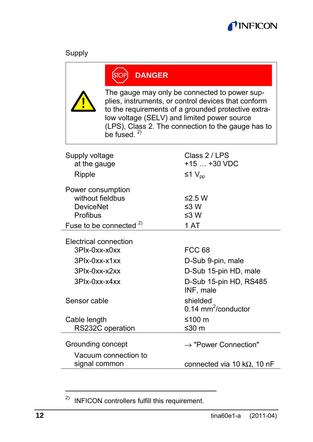

| <b>STOP</b>                                                                                                                                                                                                                                                                          | <b>DANGER</b> |                                               |  |
|--------------------------------------------------------------------------------------------------------------------------------------------------------------------------------------------------------------------------------------------------------------------------------------|---------------|-----------------------------------------------|--|
| The gauge may only be connected to power sup-<br>plies, instruments, or control devices that conform<br>to the requirements of a grounded protective extra-<br>low voltage (SELV) and limited power source<br>(LPS), Class 2. The connection to the gauge has to<br>be fused $^{2)}$ |               |                                               |  |
| Supply voltage                                                                                                                                                                                                                                                                       |               | Class 2 / LPS                                 |  |
| at the gauge                                                                                                                                                                                                                                                                         |               | $+15+30$ VDC                                  |  |
| Ripple                                                                                                                                                                                                                                                                               |               | ≤1 $V_{\text{nn}}$                            |  |
| Power consumption<br>without fieldbus<br><b>DeviceNet</b><br>Profibus                                                                                                                                                                                                                |               | ≤2.5 W<br>$\leq 3 W$<br>≤3 W                  |  |
| Fuse to be connected $2)$                                                                                                                                                                                                                                                            |               | 1 AT                                          |  |
| Electrical connection                                                                                                                                                                                                                                                                |               |                                               |  |
| 3Plx-0xx-x0xx                                                                                                                                                                                                                                                                        |               | <b>FCC 68</b>                                 |  |
| 3Plx-0xx-x1xx                                                                                                                                                                                                                                                                        |               | D-Sub 9-pin, male                             |  |
| $3P1x-0xx-x2xx$                                                                                                                                                                                                                                                                      |               | D-Sub 15-pin HD, male                         |  |
| 3Plx-0xx-x4xx                                                                                                                                                                                                                                                                        |               | D-Sub 15-pin HD, RS485<br>INF, male           |  |
| Sensor cable                                                                                                                                                                                                                                                                         |               | shielded<br>$0.14$ mm <sup>2</sup> /conductor |  |
| Cable length<br>RS232C operation                                                                                                                                                                                                                                                     |               | ≤100 $m$<br>≤30 m                             |  |
| Grounding concept                                                                                                                                                                                                                                                                    |               | $\rightarrow$ "Power Connection"              |  |
| Vacuum connection to<br>signal common                                                                                                                                                                                                                                                |               | connected via 10 k $\Omega$ , 10 nF           |  |

<sup>&</sup>lt;sup>2)</sup> INFICON controllers fulfill this requirement.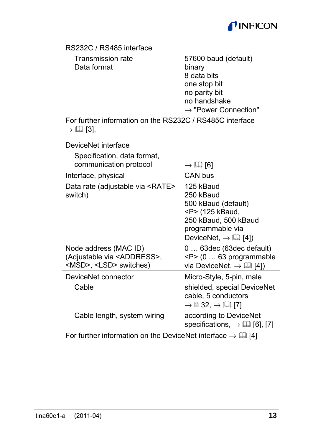

| RS232C / RS485 interface                                                                             |                                                                                                                                                                     |  |
|------------------------------------------------------------------------------------------------------|---------------------------------------------------------------------------------------------------------------------------------------------------------------------|--|
| <b>Transmission rate</b><br>Data format                                                              | 57600 baud (default)<br>binary<br>8 data bits<br>one stop bit<br>no parity bit<br>no handshake<br>$\rightarrow$ "Power Connection"                                  |  |
| For further information on the RS232C / RS485C interface<br>$\rightarrow \Box$ [3].                  |                                                                                                                                                                     |  |
| DeviceNet interface                                                                                  |                                                                                                                                                                     |  |
| Specification, data format,                                                                          |                                                                                                                                                                     |  |
| communication protocol                                                                               | $\rightarrow$ 12 [6]                                                                                                                                                |  |
| Interface, physical                                                                                  | CAN bus                                                                                                                                                             |  |
| Data rate (adjustable via <rate><br/>switch)</rate>                                                  | 125 kBaud<br>250 kBaud<br>500 kBaud (default)<br><p> (125 kBaud,<br/>250 kBaud, 500 kBaud<br/>programmable via<br/>DeviceNet, <math>\rightarrow</math> [1] [4])</p> |  |
| Node address (MAC ID)<br>(Adjustable via <address>,<br/><msd>, <lsd> switches)</lsd></msd></address> | 0 63dec (63dec default)<br><p> (0  63 programmable<br/>via DeviceNet, <math>\rightarrow</math> [1] [4])</p>                                                         |  |
| DeviceNet connector                                                                                  | Micro-Style, 5-pin, male                                                                                                                                            |  |
| Cable                                                                                                | shielded, special DeviceNet<br>cable, 5 conductors<br>$\rightarrow \mathbb{B}$ 32, $\rightarrow \mathbb{H}$ [7]                                                     |  |
| Cable length, system wiring                                                                          | according to DeviceNet<br>specifications, $\rightarrow$ [12] [6], [7]                                                                                               |  |
| For further information on the DeviceNet interface $\rightarrow \Box$ [4]                            |                                                                                                                                                                     |  |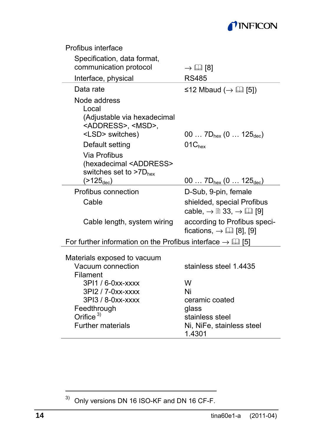### *TINFICON*

| Profibus interface                                                                                                                |                                                                                                |
|-----------------------------------------------------------------------------------------------------------------------------------|------------------------------------------------------------------------------------------------|
| Specification, data format,                                                                                                       |                                                                                                |
| communication protocol                                                                                                            | $\rightarrow$ 121 [8]                                                                          |
| Interface, physical                                                                                                               | <b>RS485</b>                                                                                   |
| Data rate                                                                                                                         | ≤12 Mbaud ( $\rightarrow$ [1] [5])                                                             |
| Node address<br>Local<br>(Adjustable via hexadecimal<br><address>. <msd>.<br/><lsd> switches)</lsd></msd></address>               | 00 $7D_{\text{hex}}$ (0 $125_{\text{dec}}$ )                                                   |
| Default setting                                                                                                                   | 01C <sub>hex</sub>                                                                             |
| Via Profibus<br>(hexadecimal <address><br/>switches set to &gt;7D<sub>hex</sub><br/><math>(&gt;125_{\text{dec}})</math></address> | 00 $7D_{hex}$ (0 $125_{dec}$ )                                                                 |
| Profibus connection                                                                                                               | D-Sub, 9-pin, female                                                                           |
| Cable                                                                                                                             | shielded, special Profibus<br>cable, $\rightarrow \mathbb{B}$ 33, $\rightarrow \mathbb{H}$ [9] |
| Cable length, system wiring                                                                                                       | according to Profibus speci-<br>fications, $\rightarrow \Box$ [8], [9]                         |
| For further information on the Profibus interface $\rightarrow \Box$ [5]                                                          |                                                                                                |
| Materials exposed to vacuum                                                                                                       |                                                                                                |
| Vacuum connection<br>Filament                                                                                                     | stainless steel 1 4435                                                                         |
| 3PI1 / 6-0xx-xxxx                                                                                                                 | W                                                                                              |
| 3PI2 / 7-0xx-xxxx                                                                                                                 | Ni                                                                                             |
| 3PI3 / 8-0xx-xxxx                                                                                                                 | ceramic coated                                                                                 |
| Feedthrough                                                                                                                       | glass                                                                                          |
| Orifice $3)$                                                                                                                      | stainless steel                                                                                |
| <b>Further materials</b>                                                                                                          | Ni, NiFe, stainless steel<br>1.4301                                                            |

 $3)$  Only versions DN 16 ISO-KF and DN 16 CF-F.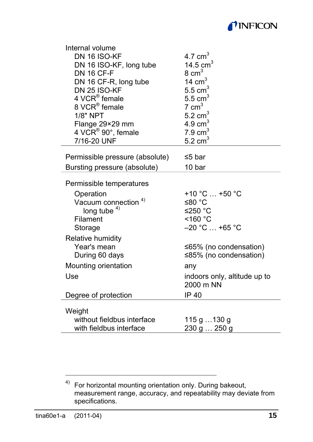

| Internal volume                 |                                           |
|---------------------------------|-------------------------------------------|
| DN 16 ISO-KF                    | 4.7 $cm3$                                 |
| DN 16 ISO-KF, long tube         | 14.5 $cm3$                                |
| <b>DN 16 CF-F</b>               | $8 \text{ cm}^3$                          |
| DN 16 CF-R, long tube           | 14 $cm3$                                  |
| <b>DN 25 ISO-KF</b>             | $5.5 \text{ cm}^3$                        |
| 4 VCR <sup>®</sup> female       | $5.5 \text{ cm}^3$                        |
| 8 VCR® female                   | $7 \text{ cm}^3$                          |
| $1/8"$ NPT                      | $5.2 \text{ cm}^3$                        |
| Flange 29×29 mm                 | 4.9 $cm3$                                 |
| 4 VCR <sup>®</sup> 90°, female  | $7.9 \text{ cm}^3$                        |
| 7/16-20 UNF                     | 5.2 cm $^3$                               |
| Permissible pressure (absolute) | ≤5 bar                                    |
| Bursting pressure (absolute)    | 10 bar                                    |
| Permissible temperatures        |                                           |
| Operation                       | +10 °C  +50 °C                            |
| Vacuum connection <sup>4)</sup> | ≤80 °C                                    |
| long tube $4$ )                 | ≤250 $°C$                                 |
| Filament                        | $<$ 160 $^{\circ}$ C                      |
| Storage                         | $-20$ °C $$ +65 °C                        |
| Relative humidity               |                                           |
| Year's mean                     | ≤65% (no condensation)                    |
| During 60 days                  | ≤85% (no condensation)                    |
| Mounting orientation            | any                                       |
| Use                             | indoors only, altitude up to<br>2000 m NN |
| Degree of protection            | IP 40                                     |
|                                 |                                           |
| Weight                          |                                           |
| without fieldbus interface      | 115 g  130 g                              |
| with fieldbus interface         | 230 g  250 g                              |

<sup>4)</sup> For horizontal mounting orientation only. During bakeout, measurement range, accuracy, and repeatability may deviate from specifications.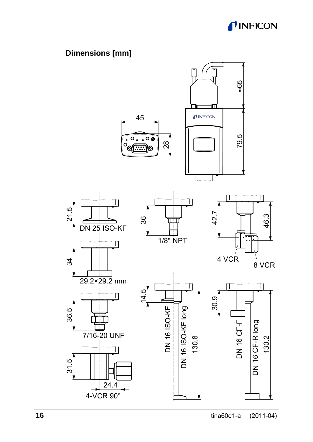

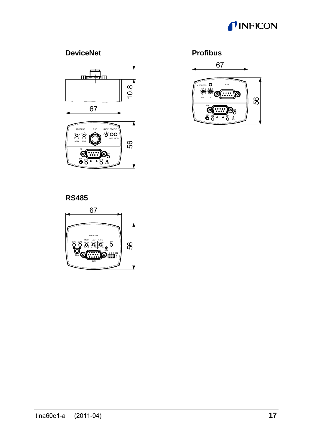### *TINFICON*

#### **DeviceNet Profibus**





**RS485** 

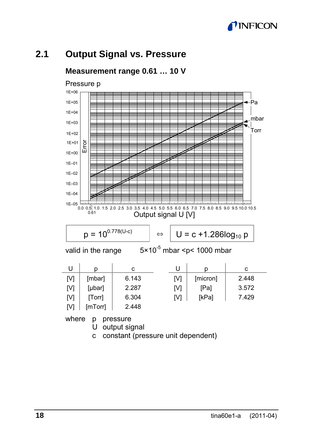### **UNFICON**

### **2.1 Output Signal vs. Pressure**



**Measurement range 0.61 … 10 V** 

c constant (pressure unit dependent)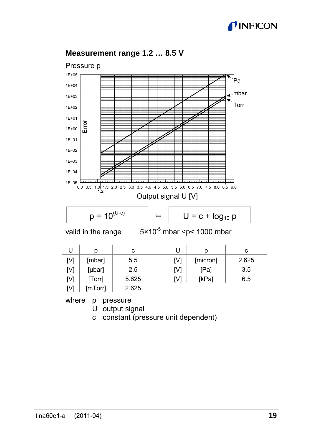### **TINFICON**



#### **Measurement range 1.2 … 8.5 V**

c constant (pressure unit dependent)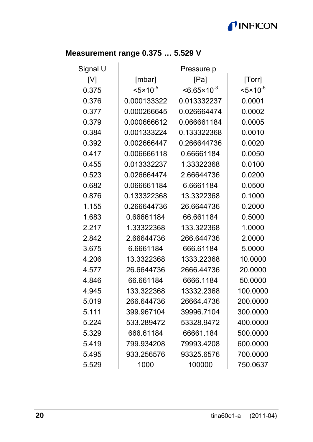### *TINFICON*

#### **Measurement range 0.375 … 5.529 V**

| Signal U | Pressure p           |                         |                     |  |
|----------|----------------------|-------------------------|---------------------|--|
| ΓVΊ      | [mbar]               | [Pa]                    | [Torr]              |  |
| 0.375    | $< 5 \times 10^{-5}$ | $< 6.65 \times 10^{-3}$ | $35 \times 10^{-5}$ |  |
| 0.376    | 0.000133322          | 0.013332237             | 0.0001              |  |
| 0.377    | 0.000266645          | 0.026664474             | 0.0002              |  |
| 0.379    | 0.000666612          | 0.066661184             | 0.0005              |  |
| 0.384    | 0.001333224          | 0.133322368             | 0.0010              |  |
| 0.392    | 0.002666447          | 0.266644736             | 0.0020              |  |
| 0.417    | 0.006666118          | 0.66661184              | 0.0050              |  |
| 0.455    | 0.013332237          | 1.33322368              | 0.0100              |  |
| 0.523    | 0.026664474          | 2.66644736              | 0.0200              |  |
| 0.682    | 0.066661184          | 6.6661184               | 0.0500              |  |
| 0.876    | 0.133322368          | 13.3322368              | 0.1000              |  |
| 1.155    | 0.266644736          | 26.6644736              | 0.2000              |  |
| 1.683    | 0.66661184           | 66.661184               | 0.5000              |  |
| 2.217    | 1.33322368           | 133.322368              | 1.0000              |  |
| 2.842    | 2.66644736           | 266.644736              | 2.0000              |  |
| 3.675    | 6.6661184            | 666.61184               | 5.0000              |  |
| 4.206    | 13.3322368           | 1333.22368              | 10.0000             |  |
| 4.577    | 26.6644736           | 2666.44736              | 20.0000             |  |
| 4.846    | 66.661184            | 6666.1184               | 50.0000             |  |
| 4.945    | 133.322368           | 13332.2368              | 100.0000            |  |
| 5.019    | 266.644736           | 26664.4736              | 200.0000            |  |
| 5.111    | 399.967104           | 39996.7104              | 300.0000            |  |
| 5.224    | 533.289472           | 53328.9472              | 400.0000            |  |
| 5.329    | 666.61184            | 66661.184               | 500.0000            |  |
| 5.419    | 799.934208           | 79993.4208              | 600.0000            |  |
| 5.495    | 933.256576           | 93325.6576              | 700.0000            |  |
| 5.529    | 1000                 | 100000                  | 750.0637            |  |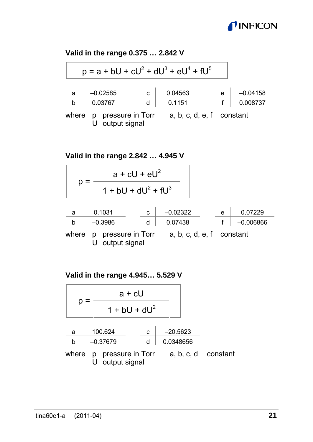### *I*INFICON

#### **Valid in the range 0.375 … 2.842 V**

| $p = a + bU + cU2 + dU3 + eU4 + fU5$ |                                       |        |                           |   |                        |
|--------------------------------------|---------------------------------------|--------|---------------------------|---|------------------------|
| $\overline{a}$<br>b                  | $-0.02585$<br>0.03767                 | c<br>d | 0.04563<br>0.1151         | e | $-0.04158$<br>0.008737 |
| where                                | p pressure in Torr<br>U output signal |        | a, b, c, d, e, f constant |   |                        |

**Valid in the range 2.842 … 4.945 V** 

$$
p = \frac{a + cU + eU^{2}}{1 + bU + dU^{2} + fU^{3}}
$$
\n  
\na 0.1031  
\nb -0.3986  
\nwhere p pressure in Torr  
\n*a*, *b*, *c*, *d*, *e*, *f* constant  
\n*u* output signal

**Valid in the range 4.945… 5.529 V** 

$$
p = \frac{a + cU}{1 + bU + dU^{2}}
$$
  
\n
$$
\frac{a}{b} = \frac{100.624}{-0.37679} = \frac{c}{d} = \frac{-20.5623}{0.0348656}
$$
  
\n
$$
\frac{a}{c} = \frac{100.624}{0.0348656}
$$
  
\n
$$
p = 0.00000
$$
  
\n
$$
p = 0.00000
$$
  
\n
$$
p = 0.00000
$$
  
\n
$$
q = 0.00000
$$
  
\n
$$
q = 0.00000
$$
  
\n
$$
q = 0.00000
$$
  
\n
$$
q = 0.00000
$$
  
\n
$$
q = 0.00000
$$
  
\n
$$
q = 0.00000
$$
  
\n
$$
q = 0.00000
$$
  
\n
$$
q = 0.00000
$$
  
\n
$$
q = 0.00000
$$
  
\n
$$
q = 0.00000
$$
  
\n
$$
q = 0.00000
$$
  
\n
$$
q = 0.00000
$$
  
\n
$$
q = 0.00000
$$
  
\n
$$
q = 0.00000
$$
  
\n
$$
q = 0.00000
$$
  
\n
$$
q = 0.00000
$$
  
\n
$$
q = 0.00000
$$
  
\n
$$
q = 0.00000
$$
  
\n
$$
q = 0.00000
$$
  
\n
$$
q = 0.00000
$$
  
\n
$$
q = 0.00000
$$
  
\n
$$
q = 0.00000
$$
  
\n
$$
q = 0.00000
$$
  
\n
$$
q = 0.00000
$$
  
\n
$$
q = 0.00000
$$
  
\n
$$
q = 0.
$$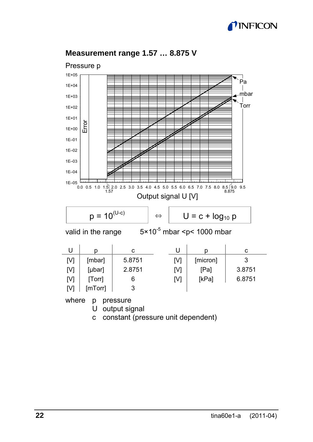### **TINFICON**



#### **Measurement range 1.57 … 8.875 V**

c constant (pressure unit dependent)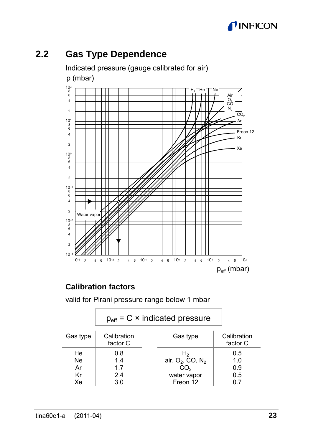

### **2.2 Gas Type Dependence**

Indicated pressure (gauge calibrated for air) p (mbar) 102 H<sub>2</sub> ∃He —∏Ne 8 6 Air 4 o<br>cô  $\tilde{N}$  $\overline{2}$  $\overline{c}$ 101 Ŧ Ħ ⊣⊣  $\overline{\phantom{a}}$ 8 6 Freon 12 4 Kr  $\overline{2}$ Xe 100 8 6 ╄ F r 4 2 10–1 И. ╫ Н t 8 6 г 7  $\Box$ ┯ 4  $\overline{2}$ Water vapo 10–2 8 6 + Н ۲ ┯ ┭ 4 2  $10^{-3}$   $\cancel{20^{-3}}$ 10–3 2 4 6 10–2 2 4 6 10–1 2 4 6 100 2 4 6 101 2 4 6 102  $p_{\text{eff}}$  (mbar)

### **Calibration factors**

valid for Pirani pressure range below 1 mbar

|          | $p_{\text{eff}}$ = C $\times$ indicated pressure |                                          |                         |
|----------|--------------------------------------------------|------------------------------------------|-------------------------|
| Gas type | Calibration<br>factor C                          | Gas type                                 | Calibration<br>factor C |
| He       | 0.8                                              | Η,                                       | 0.5                     |
| Ne.      | 1.4                                              | air, O <sub>2</sub> , CO, N <sub>2</sub> | 1.0                     |
| Ar       | 1.7                                              | CO <sub>2</sub>                          | 0.9                     |
| Kr       | 2.4                                              | water vapor                              | 0.5                     |
| Xe       | 3.0                                              | Freon 12                                 | 0.7                     |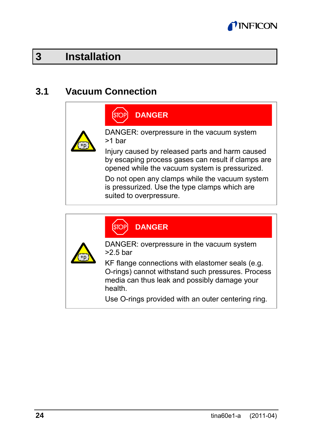

### **3 Installation**

### **3.1 Vacuum Connection**



### **DANGER**

DANGER: overpressure in the vacuum system >1 bar

Injury caused by released parts and harm caused by escaping process gases can result if clamps are opened while the vacuum system is pressurized.

Do not open any clamps while the vacuum system is pressurized. Use the type clamps which are suited to overpressure.

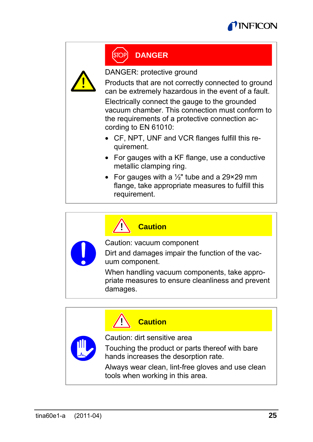



### **DANGER**

DANGER: protective ground

Products that are not correctly connected to ground can be extremely hazardous in the event of a fault.

Electrically connect the gauge to the grounded vacuum chamber. This connection must conform to the requirements of a protective connection according to EN 61010:

- CF, NPT, UNF and VCR flanges fulfill this requirement.
- For gauges with a KF flange, use a conductive metallic clamping ring.
- For gauges with a  $\frac{1}{2}$ " tube and a 29×29 mm flange, take appropriate measures to fulfill this requirement.

| $\sqrt{!}$ Caution                                                                              |
|-------------------------------------------------------------------------------------------------|
| Caution: vacuum component<br>Dirt and damages impair the function of the vac-<br>uum component. |

When handling vacuum components, take appropriate measures to ensure cleanliness and prevent damages.

|                              | <b>Caution</b>                                                                          |
|------------------------------|-----------------------------------------------------------------------------------------|
| Caution: dirt sensitive area |                                                                                         |
|                              | Touching the product or parts thereof with bare<br>hands increases the desorption rate. |
|                              | Always wear clean, lint-free gloves and use clean<br>tools when working in this area.   |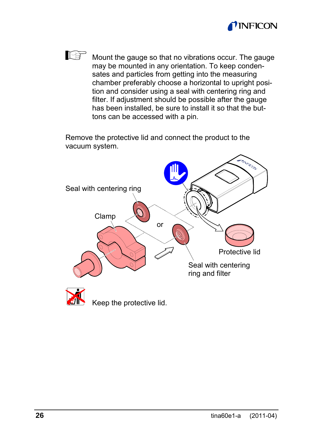

Mount the gauge so that no vibrations occur. The gauge may be mounted in any orientation. To keep condensates and particles from getting into the measuring chamber preferably choose a horizontal to upright position and consider using a seal with centering ring and filter. If adjustment should be possible after the gauge has been installed, be sure to install it so that the buttons can be accessed with a pin.

Remove the protective lid and connect the product to the vacuum system.

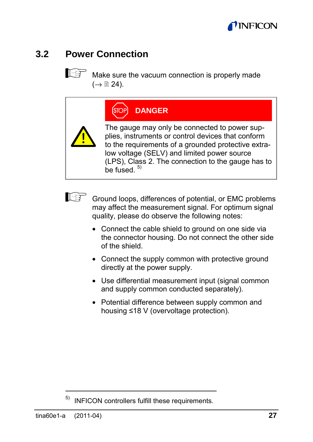

### **3.2 Power Connection**

 $\mathbb{R}^n$  Make sure the vacuum connection is properly made  $(\rightarrow \cong 24)$ .

| [OP | <b>DANGER</b> |
|-----|---------------|
|     |               |

ſs

The gauge may only be connected to power supplies, instruments or control devices that conform to the requirements of a grounded protective extralow voltage (SELV) and limited power source (LPS), Class 2. The connection to the gauge has to  $h$ e fused.  $5$ )



Ground loops, differences of potential, or EMC problems may affect the measurement signal. For optimum signal quality, please do observe the following notes:

- Connect the cable shield to ground on one side via the connector housing. Do not connect the other side of the shield.
- Connect the supply common with protective ground directly at the power supply.
- Use differential measurement input (signal common and supply common conducted separately).
- Potential difference between supply common and housing ≤18 V (overvoltage protection).

INFICON controllers fulfill these requirements.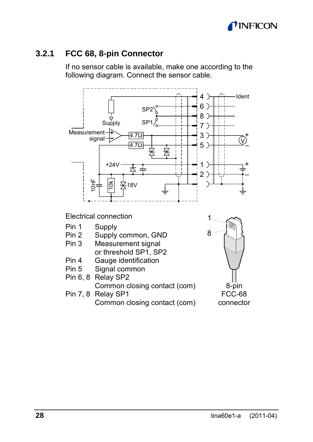

#### **3.2.1 FCC 68, 8-pin Connector**

If no sensor cable is available, make one according to the following diagram. Connect the sensor cable.



Electrical connection

- Pin 1 Supply<br>Pin 2 Supply
- Pin 2 Supply common, GND<br>Pin 3 Measurement signal
- Measurement signal or threshold SP1, SP2<br>Pin 4 Gauge identification
- Pin 4 Gauge identification<br>Pin 5 Signal common
- Signal common
- Pin 6, 8 Relay SP2 Common closing contact (com) Pin 7, 8 Relay SP1

Common closing contact (com)

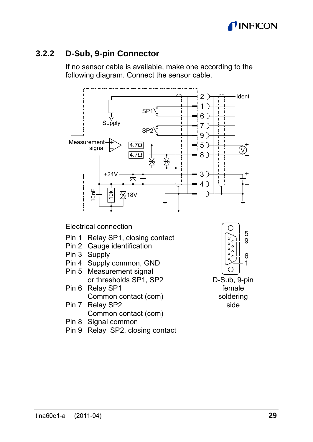

#### **3.2.2 D-Sub, 9-pin Connector**

If no sensor cable is available, make one according to the following diagram. Connect the sensor cable.



Electrical connection

- Pin 1 Relay SP1, closing contact
- Pin 2 Gauge identification
- Pin 3 Supply
- Pin 4 Supply common, GND
- Pin 5 Measurement signal or thresholds SP1, SP2
- Pin 6 Relay SP1 Common contact (com) Pin 7 Relay SP2

Common contact (com)

- Pin 8 Signal common
- Pin 9 Relay SP2, closing contact



D-Sub, 9-pin female soldering side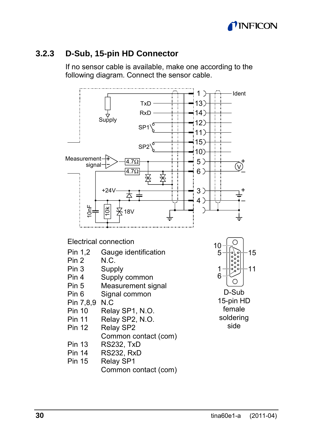

#### **3.2.3 D-Sub, 15-pin HD Connector**

If no sensor cable is available, make one according to the following diagram. Connect the sensor cable.

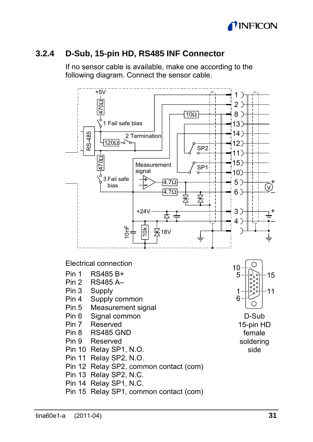

### **3.2.4 D-Sub, 15-pin HD, RS485 INF Connector**

If no sensor cable is available, make one according to the following diagram. Connect the sensor cable.



Electrical connection

- Pin 1 RS485 B+
- Pin 2 RS485 A–
- Pin 3 Supply
- Pin 4 Supply common
- Pin 5 Measurement signal
- Pin 6 Signal common
- Pin 7 Reserved
- Pin 8 RS485 GND
- Pin 9 Reserved
- Pin 10 Relay SP1, N.O.
- Pin 11 Relay SP2, N.O.
- Pin 12 Relay SP2, common contact (com)
- Pin 13 Relay SP2, N.C.
- Pin 14 Relay SP1, N.C.
- Pin 15 Relay SP1, common contact (com)



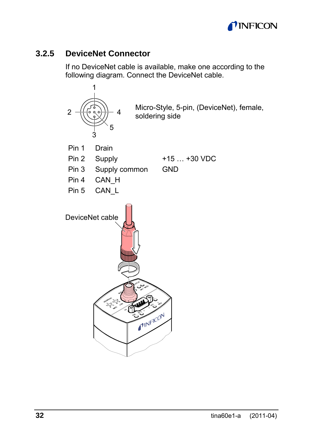

### **3.2.5 DeviceNet Connector**

If no DeviceNet cable is available, make one according to the following diagram. Connect the DeviceNet cable.

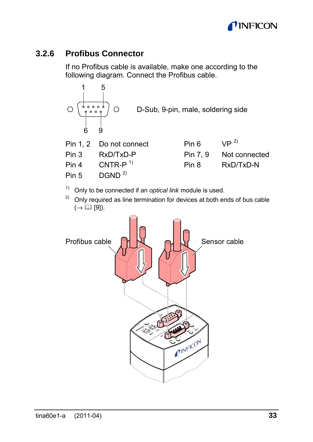

### **3.2.6 Profibus Connector**

If no Profibus cable is available, make one according to the following diagram. Connect the Profibus cable.



|       | Pin 1, 2 Do not connect | Pin 6   | $\mathsf{VP}^{2}$ |
|-------|-------------------------|---------|-------------------|
| Pin 3 | RxD/TxD-P               | Pin 7.9 | Not connected     |
| Pin 4 | CNTR- $P1$              | Pin 8   | RxD/TxD-N         |
| Pin 5 | DGND <sup>2</sup>       |         |                   |

<sup>1)</sup> Only to be connected if an *optical link* module is used.<br><sup>2)</sup> Only required as line termination for devices at both ends of bus cable  $(\rightarrow \Box$  [9]).

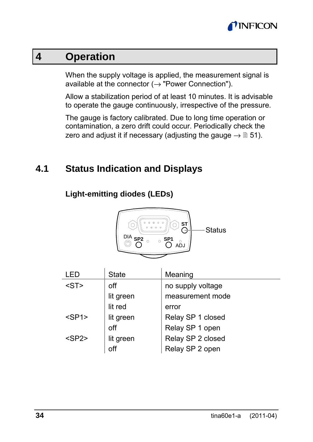

### **4 Operation**

When the supply voltage is applied, the measurement signal is available at the connector  $(\rightarrow)$  "Power Connection").

Allow a stabilization period of at least 10 minutes. It is advisable to operate the gauge continuously, irrespective of the pressure.

The gauge is factory calibrated. Due to long time operation or contamination, a zero drift could occur. Periodically check the zero and adjust it if necessary (adjusting the gauge  $\rightarrow \mathbb{B}$  51).

### **4.1 Status Indication and Displays**

#### **Light-emitting diodes (LEDs)**



| I FD        | State     | Meaning           |
|-------------|-----------|-------------------|
| $<$ ST $>$  | off       | no supply voltage |
|             | lit green | measurement mode  |
|             | lit red   | error             |
| $<$ SP1 $>$ | lit green | Relay SP 1 closed |
|             | off       | Relay SP 1 open   |
| $<$ SP2 $>$ | lit green | Relay SP 2 closed |
|             | off       | Relay SP 2 open   |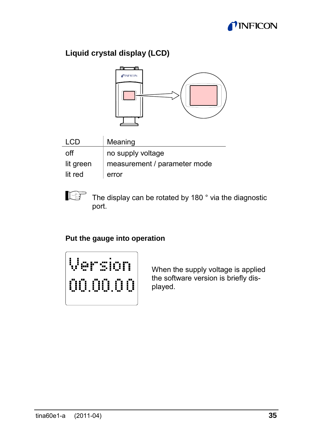

### **Liquid crystal display (LCD)**



| I CD      | Meaning                      |
|-----------|------------------------------|
| off       | no supply voltage            |
| lit green | measurement / parameter mode |
| lit red   | error                        |

The display can be rotated by 180° via the diagnostic port.

#### **Put the gauge into operation**



When the supply voltage is applied the software version is briefly displayed.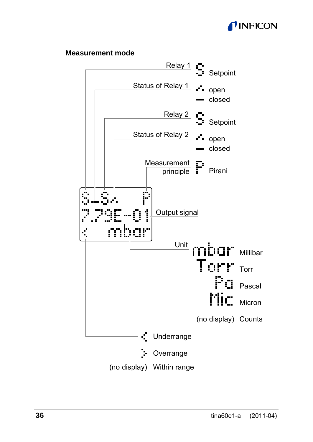

#### **Measurement mode**

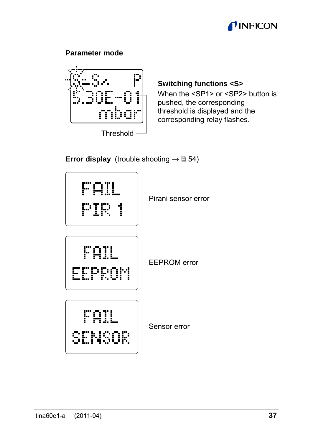

#### **Parameter mode**



Threshold

#### **Switching functions <S>**

When the <SP1> or <SP2> button is pushed, the corresponding threshold is displayed and the corresponding relay flashes.

#### **Error display** (trouble shooting  $\rightarrow \mathbb{B}$  54)

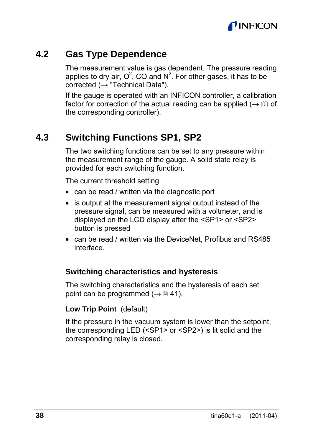

### **4.2 Gas Type Dependence**

The measurement value is gas dependent. The pressure reading applies to dry air,  $O^2$ , CO and N<sup>2</sup>. For other gases, it has to be corrected  $\mapsto$  "Technical Data").

If the gauge is operated with an INFICON controller, a calibration factor for correction of the actual reading can be applied ( $\rightarrow \Box$ ) of the corresponding controller).

### **4.3 Switching Functions SP1, SP2**

The two switching functions can be set to any pressure within the measurement range of the gauge. A solid state relay is provided for each switching function.

The current threshold setting

- can be read / written via the diagnostic port
- is output at the measurement signal output instead of the pressure signal, can be measured with a voltmeter, and is displayed on the LCD display after the <SP1> or <SP2> button is pressed
- can be read / written via the DeviceNet, Profibus and RS485 interface.

#### **Switching characteristics and hysteresis**

The switching characteristics and the hysteresis of each set point can be programmed ( $\rightarrow \mathbb{B}$  41).

#### **Low Trip Point** (default)

If the pressure in the vacuum system is lower than the setpoint, the corresponding LED (<SP1> or <SP2>) is lit solid and the corresponding relay is closed.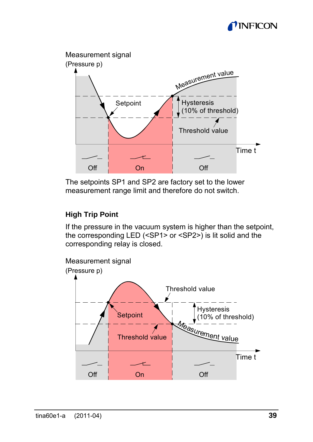



The setpoints SP1 and SP2 are factory set to the lower measurement range limit and therefore do not switch.

#### **High Trip Point**

If the pressure in the vacuum system is higher than the setpoint, the corresponding LED (<SP1> or <SP2>) is lit solid and the corresponding relay is closed.

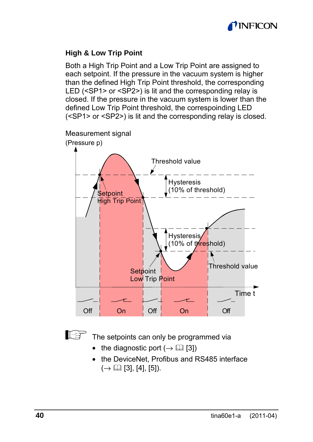

#### **High & Low Trip Point**

Both a High Trip Point and a Low Trip Point are assigned to each setpoint. If the pressure in the vacuum system is higher than the defined High Trip Point threshold, the corresponding LED (<SP1> or <SP2>) is lit and the corresponding relay is closed. If the pressure in the vacuum system is lower than the defined Low Trip Point threshold, the correspoinding LED (<SP1> or <SP2>) is lit and the corresponding relay is closed.





The setpoints can only be programmed via

- the diagnostic port  $(\rightarrow \Box \Box$  [3])
- the DeviceNet. Profibus and RS485 interface  $(\rightarrow \Box$  [3], [4], [5]).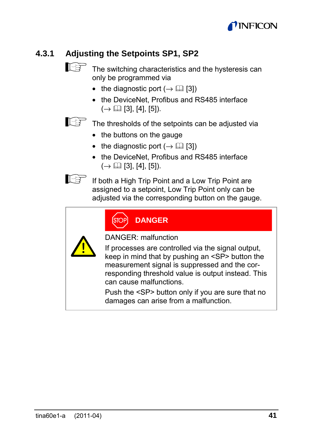

### **4.3.1 Adjusting the Setpoints SP1, SP2**



 $\mathbb{F}$  The switching characteristics and the hysteresis can only be programmed via

- the diagnostic port  $(\rightarrow \Box$  [3])
- the DeviceNet, Profibus and RS485 interface  $(\rightarrow \Box$  [3], [4], [5]).

The thresholds of the setpoints can be adjusted via

- the buttons on the gauge
- the diagnostic port  $(\rightarrow \Box \Box$  [3])
- the DeviceNet. Profibus and RS485 interface  $(\rightarrow \Box$  [3], [4], [5]).



If **If both a High Trip Point and a Low Trip Point are** assigned to a setpoint, Low Trip Point only can be adjusted via the corresponding button on the gauge.

| [OP | <b>DANGER</b> |  |
|-----|---------------|--|
|     |               |  |



DANGER: malfunction

If processes are controlled via the signal output, keep in mind that by pushing an <SP> button the measurement signal is suppressed and the corresponding threshold value is output instead. This can cause malfunctions.

Push the <SP> button only if you are sure that no damages can arise from a malfunction.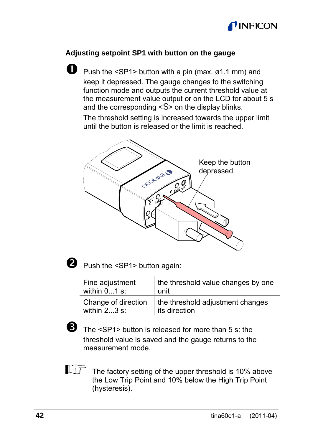

#### **Adjusting setpoint SP1 with button on the gauge**

**D** Push the <SP1> button with a pin (max.  $\emptyset$ 1.1 mm) and keep it depressed. The gauge changes to the switching function mode and outputs the current threshold value at the measurement value output or on the LCD for about 5 s and the corresponding <S> on the display blinks.

The threshold setting is increased towards the upper limit until the button is released or the limit is reached.





 $\bullet$  Push the <SP1> button again:

| Fine adjustment     | the threshold value changes by one |
|---------------------|------------------------------------|
| within $01$ s:      | unit                               |
| Change of direction | the threshold adjustment changes   |
| within $23$ s:      | its direction                      |



The <SP1> button is released for more than 5 s: the threshold value is saved and the gauge returns to the measurement mode.



The factory setting of the upper threshold is 10% above the Low Trip Point and 10% below the High Trip Point (hysteresis).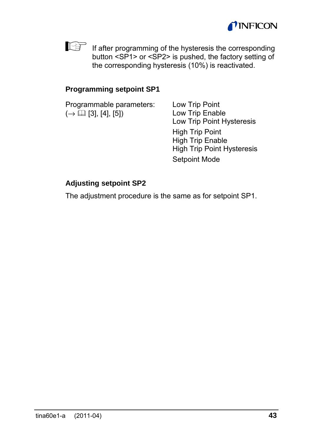



If after programming of the hysteresis the corresponding button <SP1> or <SP2> is pushed, the factory setting of the corresponding hysteresis (10%) is reactivated.

#### **Programming setpoint SP1**

| Programmable parameters:<br>$(\rightarrow \Box$ [3], [4], [5]) | Low Trip Point<br>Low Trip Enable<br>Low Trip Point Hysteresis                                          |
|----------------------------------------------------------------|---------------------------------------------------------------------------------------------------------|
|                                                                | <b>High Trip Point</b><br><b>High Trip Enable</b><br><b>High Trip Point Hysteresis</b><br>Setpoint Mode |

#### **Adjusting setpoint SP2**

The adjustment procedure is the same as for setpoint SP1.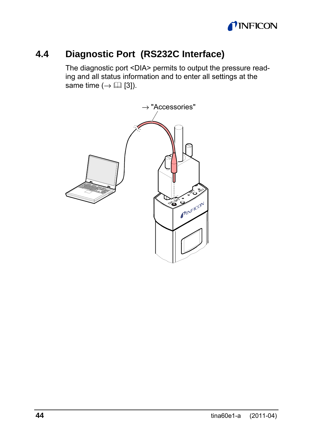

### **4.4 Diagnostic Port (RS232C Interface)**

The diagnostic port <DIA> permits to output the pressure reading and all status information and to enter all settings at the same time  $(\rightarrow \Box$  [3]).

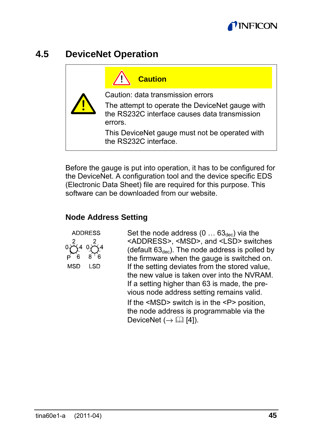

### **4.5 DeviceNet Operation**

| <b>Caution</b>                                                                                              |
|-------------------------------------------------------------------------------------------------------------|
| Caution: data transmission errors                                                                           |
| The attempt to operate the DeviceNet gauge with<br>the RS232C interface causes data transmission<br>errors. |
| This DeviceNet gauge must not be operated with<br>the RS232C interface.                                     |

Before the gauge is put into operation, it has to be configured for the DeviceNet. A configuration tool and the device specific EDS (Electronic Data Sheet) file are required for this purpose. This software can be downloaded from our website.

#### **Node Address Setting**



Set the node address  $(0 \dots 63_{dec})$  via the <ADDRESS>, <MSD>, and <LSD> switches (default  $63_{dec}$ ). The node address is polled by the firmware when the gauge is switched on. If the setting deviates from the stored value, the new value is taken over into the NVRAM. If a setting higher than 63 is made, the previous node address setting remains valid. If the <MSD> switch is in the <P> position. the node address is programmable via the DeviceNet  $(\rightarrow \Box \Box$  [41).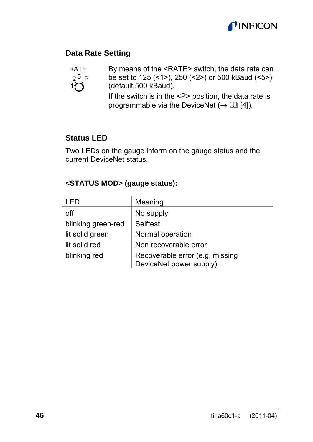

#### **Data Rate Setting**



By means of the <RATE> switch, the data rate can be set to 125 (<1>), 250 (<2>) or 500 kBaud (<5>) (default 500 kBaud).

If the switch is in the <P> position, the data rate is programmable via the DeviceNet ( $\rightarrow$   $\Box$  [4]).

#### **Status LED**

Two LEDs on the gauge inform on the gauge status and the current DeviceNet status.

#### **<STATUS MOD> (gauge status):**

|                    | Meaning                                                    |
|--------------------|------------------------------------------------------------|
| off                | No supply                                                  |
| blinking green-red | Selftest                                                   |
| lit solid green    | Normal operation                                           |
| lit solid red      | Non recoverable error                                      |
| blinking red       | Recoverable error (e.g. missing<br>DeviceNet power supply) |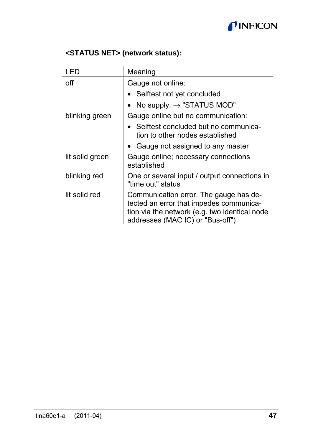

#### **<STATUS NET> (network status):**

| I FD            | Meaning                                                                                                                                                                |
|-----------------|------------------------------------------------------------------------------------------------------------------------------------------------------------------------|
| off             | Gauge not online:                                                                                                                                                      |
|                 | • Selftest not yet concluded                                                                                                                                           |
|                 | • No supply, $\rightarrow$ "STATUS MOD"                                                                                                                                |
| blinking green  | Gauge online but no communication:                                                                                                                                     |
|                 | Selftest concluded but no communica-<br>tion to other nodes established                                                                                                |
|                 | Gauge not assigned to any master                                                                                                                                       |
| lit solid green | Gauge online; necessary connections<br>established                                                                                                                     |
| blinking red    | One or several input / output connections in<br>"time out" status                                                                                                      |
| lit solid red   | Communication error. The gauge has de-<br>tected an error that impedes communica-<br>tion via the network (e.g. two identical node<br>addresses (MAC IC) or "Bus-off") |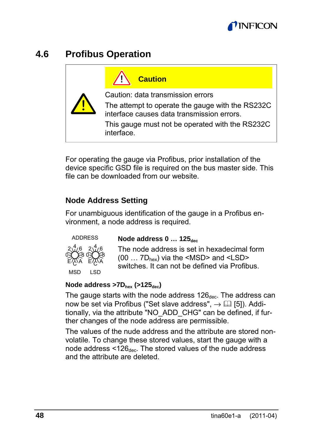

### **4.6 Profibus Operation**



For operating the gauge via Profibus, prior installation of the device specific GSD file is required on the bus master side. This file can be downloaded from our website.

#### **Node Address Setting**

For unambiguous identification of the gauge in a Profibus environment, a node address is required.



**Node address 0 ... 125** dec

The node address is set in hexadecimal form (00 … 7Dhex) via the <MSD> and <LSD> switches. It can not be defined via Profibus.

#### **Node address >7Dhex (>125dec)**

The gauge starts with the node address  $126_{\text{dec}}$ . The address can now be set via Profibus ("Set slave address",  $\rightarrow$  [15]). Additionally, via the attribute "NO\_ADD\_CHG" can be defined, if further changes of the node address are permissible.

The values of the nude address and the attribute are stored nonvolatile. To change these stored values, start the gauge with a node address <126dec. The stored values of the nude address and the attribute are deleted.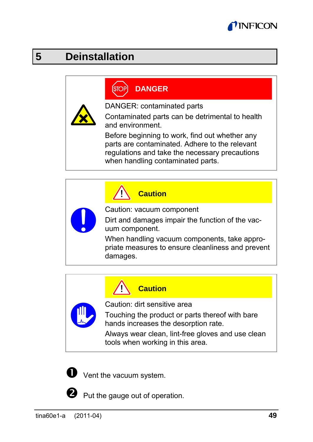

# **5 Deinstallation**

#### **DANGER STOF**

DANGER: contaminated parts

Contaminated parts can be detrimental to health and environment.

Before beginning to work, find out whether any parts are contaminated. Adhere to the relevant regulations and take the necessary precautions when handling contaminated parts.

**Caution**

Caution: vacuum component

Dirt and damages impair the function of the vacuum component.

When handling vacuum components, take appropriate measures to ensure cleanliness and prevent damages.



#### **Caution**

Caution: dirt sensitive area

Touching the product or parts thereof with bare hands increases the desorption rate.

Always wear clean, lint-free gloves and use clean tools when working in this area.



 $\bullet$  Vent the vacuum system.

Put the gauge out of operation.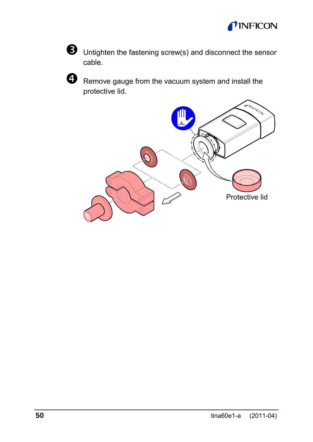



 $\Theta$  Untighten the fastening screw(s) and disconnect the sensor cable.



 $\bullet$  Remove gauge from the vacuum system and install the protective lid.

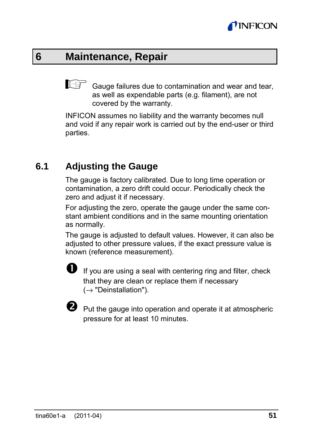

### **6 Maintenance, Repair**

 $\mathbb{G}^{\mathbb{F}}$  Gauge failures due to contamination and wear and tear. as well as expendable parts (e.g. filament), are not covered by the warranty.

INFICON assumes no liability and the warranty becomes null and void if any repair work is carried out by the end-user or third parties.

### **6.1 Adjusting the Gauge**

The gauge is factory calibrated. Due to long time operation or contamination, a zero drift could occur. Periodically check the zero and adjust it if necessary.

For adjusting the zero, operate the gauge under the same constant ambient conditions and in the same mounting orientation as normally.

The gauge is adjusted to default values. However, it can also be adjusted to other pressure values, if the exact pressure value is known (reference measurement).



If you are using a seal with centering ring and filter, check that they are clean or replace them if necessary  $(\rightarrow$  "Deinstallation").



 $\bullet$  Put the gauge into operation and operate it at atmospheric pressure for at least 10 minutes.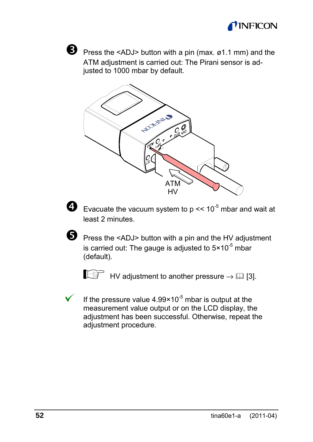



**D** Press the <ADJ> button with a pin (max. ø1.1 mm) and the ATM adjustment is carried out: The Pirani sensor is adjusted to 1000 mbar by default.





 $\bullet$  Evacuate the vacuum system to p << 10<sup>-5</sup> mbar and wait at least 2 minutes.



**•** Press the <ADJ> button with a pin and the HV adjustment is carried out: The gauge is adjusted to  $5 \times 10^{-5}$  mbar (default).

 $\mathbb{H}^{\mathbb{H}}$  HV adjustment to another pressure  $\rightarrow \mathbb{H}$  [3].

If the pressure value  $4.99 \times 10^{-5}$  mbar is output at the measurement value output or on the LCD display, the adjustment has been successful. Otherwise, repeat the adjustment procedure.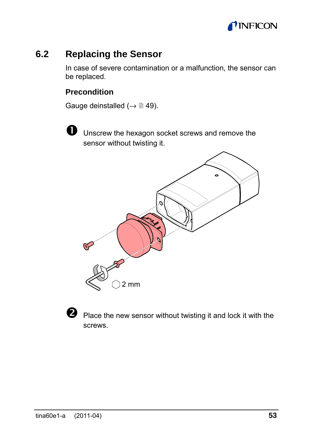

### **6.2 Replacing the Sensor**

In case of severe contamination or a malfunction, the sensor can be replaced.

#### **Precondition**

Gauge deinstalled ( $\rightarrow$   $\cong$  49).

 $\bullet$  Unscrew the hexagon socket screws and remove the sensor without twisting it.





**O** Place the new sensor without twisting it and lock it with the screws.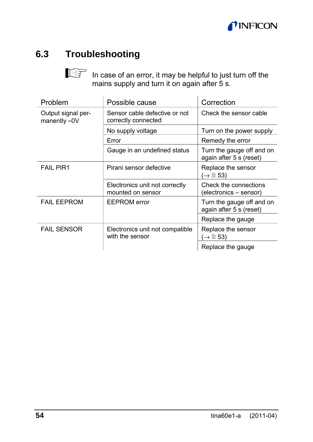

### **6.3 Troubleshooting**

In case of an error, it may be helpful to just turn off the mains supply and turn it on again after 5 s.

| Problem                                     | Possible cause                                       | Correction                                           |
|---------------------------------------------|------------------------------------------------------|------------------------------------------------------|
| Output signal per-<br>manently $\approx$ 0V | Sensor cable defective or not<br>correctly connected | Check the sensor cable                               |
|                                             | No supply voltage                                    | Turn on the power supply                             |
|                                             | Error                                                | Remedy the error                                     |
|                                             | Gauge in an undefined status                         | Turn the gauge off and on<br>again after 5 s (reset) |
| <b>FAIL PIR1</b>                            | Pirani sensor defective                              | Replace the sensor<br>(→ ≘ 53)                       |
|                                             | Electronics unit not correctly<br>mounted on sensor  | Check the connections<br>(electronics – sensor)      |
| <b>FAIL EEPROM</b>                          | <b>EEPROM</b> error                                  | Turn the gauge off and on<br>again after 5 s (reset) |
|                                             |                                                      | Replace the gauge                                    |
| <b>FAIL SENSOR</b>                          | Electronics unit not compatible<br>with the sensor   | Replace the sensor<br>(→ ≘ 53)                       |
|                                             |                                                      | Replace the gauge                                    |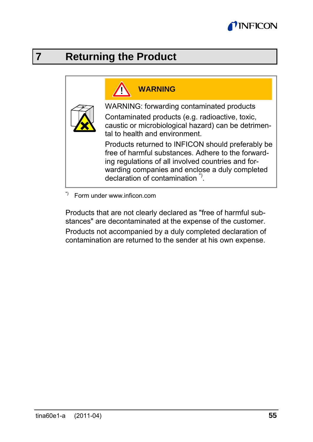

## **7 Returning the Product**

# **WARNING**

WARNING: forwarding contaminated products

Contaminated products (e.g. radioactive, toxic, caustic or microbiological hazard) can be detrimental to health and environment.

Products returned to INFICON should preferably be free of harmful substances. Adhere to the forwarding regulations of all involved countries and forwarding companies and enclose a duly completed declaration of contamination \*) .

\*) Form under www.inficon.com

Products that are not clearly declared as "free of harmful substances" are decontaminated at the expense of the customer.

Products not accompanied by a duly completed declaration of contamination are returned to the sender at his own expense.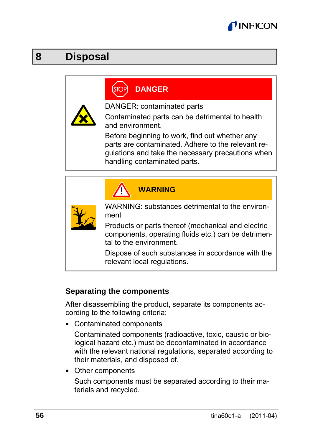

### **8 Disposal**

# **DANGER**



DANGER: contaminated parts

Contaminated parts can be detrimental to health and environment.

Before beginning to work, find out whether any parts are contaminated. Adhere to the relevant regulations and take the necessary precautions when handling contaminated parts.

**N**

|  | WARNING |  |  |
|--|---------|--|--|
|  |         |  |  |
|  |         |  |  |

WARNING: substances detrimental to the environment

Products or parts thereof (mechanical and electric components, operating fluids etc.) can be detrimental to the environment.

Dispose of such substances in accordance with the relevant local regulations.

#### **Separating the components**

After disassembling the product, separate its components according to the following criteria:

• Contaminated components

Contaminated components (radioactive, toxic, caustic or biological hazard etc.) must be decontaminated in accordance with the relevant national regulations, separated according to their materials, and disposed of.

• Other components

Such components must be separated according to their materials and recycled.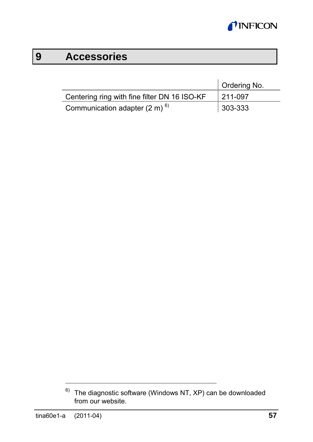

# **9 Accessories**

|                                              | Ordering No. |
|----------------------------------------------|--------------|
| Centering ring with fine filter DN 16 ISO-KF | 211-097      |
| Communication adapter $(2 \text{ m})^{6}$    | $ 303 - 333$ |

 $6)$  The diagnostic software (Windows NT, XP) can be downloaded from our website.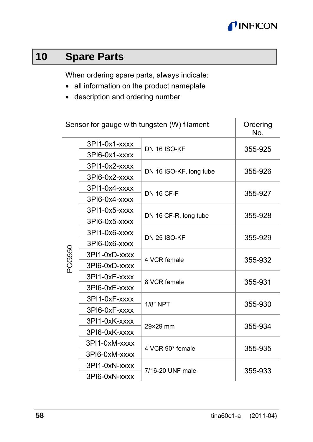

# **10 Spare Parts**

When ordering spare parts, always indicate:

- all information on the product nameplate
- description and ordering number

| Sensor for gauge with tungsten (W) filament |               |                         | Ordering<br>No. |  |
|---------------------------------------------|---------------|-------------------------|-----------------|--|
|                                             | 3PI1-0x1-xxxx | <b>DN 16 ISO-KF</b>     | 355-925         |  |
|                                             | 3PI6-0x1-xxxx |                         |                 |  |
| PCG550                                      | 3PI1-0x2-xxxx | DN 16 ISO-KF, long tube | 355-926         |  |
|                                             | 3PI6-0x2-xxxx |                         |                 |  |
|                                             | 3PI1-0x4-xxxx | <b>DN 16 CF-F</b>       | 355-927         |  |
|                                             | 3PI6-0x4-xxxx |                         |                 |  |
|                                             | 3PI1-0x5-xxxx | DN 16 CF-R, long tube   | 355-928         |  |
|                                             | 3PI6-0x5-xxxx |                         |                 |  |
|                                             | 3PI1-0x6-xxxx | DN 25 ISO-KF            | 355-929         |  |
|                                             | 3PI6-0x6-xxxx |                         |                 |  |
|                                             | 3PI1-0xD-xxxx | 4 VCR female            | 355-932         |  |
|                                             | 3PI6-0xD-xxxx |                         |                 |  |
|                                             | 3PI1-0xE-xxxx | 8 VCR female            | 355-931         |  |
|                                             | 3PI6-0xE-xxxx |                         |                 |  |
|                                             | 3PI1-0xF-xxxx | 1/8" NPT                | 355-930         |  |
|                                             | 3PI6-0xF-xxxx |                         |                 |  |
|                                             | 3PI1-0xK-xxxx | 29×29 mm                | 355-934         |  |
|                                             | 3PI6-0xK-xxxx |                         |                 |  |
|                                             | 3PI1-0xM-xxxx | 4 VCR 90° female        | 355-935         |  |
|                                             | 3PI6-0xM-xxxx |                         |                 |  |
|                                             | 3PI1-0xN-xxxx | 7/16-20 UNF male        | 355-933         |  |
|                                             | 3PI6-0xN-xxxx |                         |                 |  |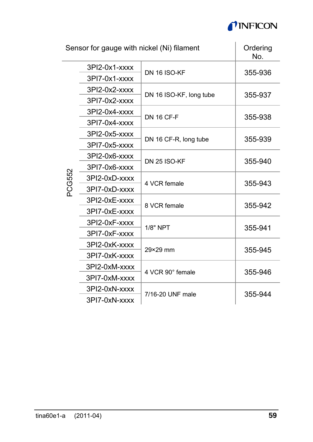

| Sensor for gauge with nickel (Ni) filament |               |                         | Ordering<br>No. |
|--------------------------------------------|---------------|-------------------------|-----------------|
|                                            | 3PI2-0x1-xxxx | <b>DN 16 ISO-KF</b>     | 355-936         |
|                                            | 3PI7-0x1-xxxx |                         |                 |
|                                            | 3PI2-0x2-xxxx | DN 16 ISO-KF, long tube | 355-937         |
|                                            | 3PI7-0x2-xxxx |                         |                 |
|                                            | 3PI2-0x4-xxxx | <b>DN 16 CF-F</b>       | 355-938         |
|                                            | 3PI7-0x4-xxxx |                         |                 |
|                                            | 3PI2-0x5-xxxx | DN 16 CF-R, long tube   | 355-939         |
|                                            | 3PI7-0x5-xxxx |                         |                 |
|                                            | 3PI2-0x6-xxxx | <b>DN 25 ISO-KF</b>     | 355-940         |
|                                            | 3PI7-0x6-xxxx |                         |                 |
| PCG552                                     | 3PI2-0xD-xxxx | 4 VCR female            | 355-943         |
|                                            | 3PI7-0xD-xxxx |                         |                 |
|                                            | 3PI2-0xE-xxxx | 8 VCR female            | 355-942         |
|                                            | 3PI7-0xE-xxxx |                         |                 |
|                                            | 3PI2-0xF-xxxx | 1/8" NPT                | 355-941         |
|                                            | 3PI7-0xF-xxxx |                         |                 |
|                                            | 3PI2-0xK-xxxx | 29×29 mm                | 355-945         |
|                                            | 3PI7-0xK-xxxx |                         |                 |
|                                            | 3PI2-0xM-xxxx | 4 VCR 90° female        | 355-946         |
|                                            | 3PI7-0xM-xxxx |                         |                 |
|                                            | 3PI2-0xN-xxxx | 7/16-20 UNF male        | 355-944         |
|                                            | 3PI7-0xN-xxxx |                         |                 |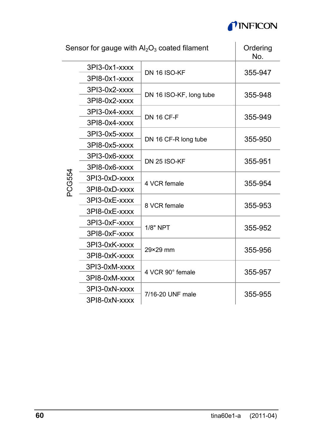

n.

| Sensor for gauge with $Al_2O_3$ coated filament |               |                         | Ordering<br>No. |  |
|-------------------------------------------------|---------------|-------------------------|-----------------|--|
|                                                 | 3PI3-0x1-xxxx | DN 16 ISO-KF            | 355-947         |  |
|                                                 | 3PI8-0x1-xxxx |                         |                 |  |
|                                                 | 3PI3-0x2-xxxx | DN 16 ISO-KF, long tube | 355-948         |  |
|                                                 | 3PI8-0x2-xxxx |                         |                 |  |
|                                                 | 3PI3-0x4-xxxx | <b>DN 16 CF-F</b>       | 355-949         |  |
|                                                 | 3PI8-0x4-xxxx |                         |                 |  |
|                                                 | 3PI3-0x5-xxxx | DN 16 CF-R long tube    | 355-950         |  |
|                                                 | 3PI8-0x5-xxxx |                         |                 |  |
|                                                 | 3PI3-0x6-xxxx | <b>DN 25 ISO-KF</b>     | 355-951         |  |
|                                                 | 3PI8-0x6-xxxx |                         |                 |  |
| PCG554                                          | 3PI3-0xD-xxxx | 4 VCR female            | 355-954         |  |
|                                                 | 3PI8-0xD-xxxx |                         |                 |  |
|                                                 | 3PI3-0xE-xxxx | 8 VCR female            | 355-953         |  |
|                                                 | 3PI8-0xE-xxxx |                         |                 |  |
|                                                 | 3PI3-0xF-xxxx | 1/8" NPT                | 355-952         |  |
|                                                 | 3PI8-0xF-xxxx |                         |                 |  |
|                                                 | 3PI3-0xK-xxxx | 29×29 mm                | 355-956         |  |
|                                                 | 3PI8-0xK-xxxx |                         |                 |  |
|                                                 | 3PI3-0xM-xxxx | 4 VCR 90° female        | 355-957         |  |
|                                                 | 3PI8-0xM-xxxx |                         |                 |  |
|                                                 | 3PI3-0xN-xxxx | 7/16-20 UNF male        | 355-955         |  |
|                                                 | 3PI8-0xN-xxxx |                         |                 |  |

 $\overline{\phantom{a}}$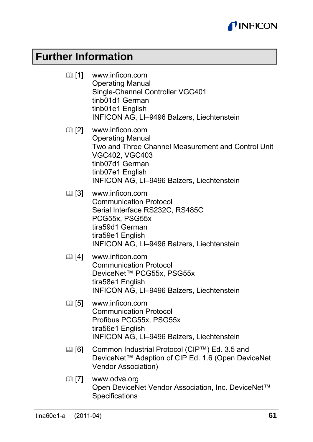

### **Further Information**

- [1] www.inficon.com Operating Manual Single-Channel Controller VGC401 tinb01d1 German tinb01e1 English INFICON AG, LI–9496 Balzers, Liechtenstein
- [2] www.inficon.com Operating Manual Two and Three Channel Measurement and Control Unit VGC402, VGC403 tinb07d1 German tinb07e1 English INFICON AG, LI–9496 Balzers, Liechtenstein
- [3] www.inficon.com Communication Protocol Serial Interface RS232C, RS485C PCG55x, PSG55x tira59d1 German tira59e1 English INFICON AG, LI–9496 Balzers, Liechtenstein
- [4] www.inficon.com Communication Protocol DeviceNet™ PCG55x, PSG55x tira58e1 English INFICON AG, LI–9496 Balzers, Liechtenstein
- [5] www.inficon.com Communication Protocol Profibus PCG55x, PSG55x tira56e1 English INFICON AG, LI–9496 Balzers, Liechtenstein
- [6] Common Industrial Protocol (CIP™) Ed. 3.5 and DeviceNet™ Adaption of CIP Ed. 1.6 (Open DeviceNet Vendor Association)
- [7] www.odva.org Open DeviceNet Vendor Association, Inc. DeviceNet™ Specifications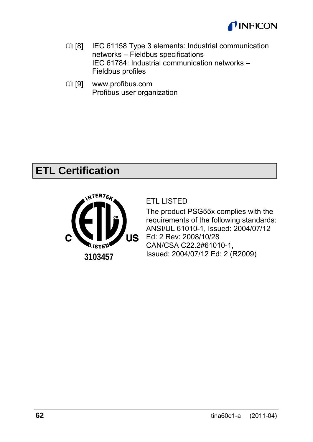

- **ED [8]** IEC 61158 Type 3 elements: Industrial communication networks – Fieldbus specifications IEC 61784: Industrial communication networks – Fieldbus profiles
- [9] www.profibus.com Profibus user organization

# **ETL Certification**



#### ETL LISTED

The product PSG55x complies with the requirements of the following standards: ANSI/UL 61010-1, Issued: 2004/07/12 Ed: 2 Rev: 2008/10/28 CAN/CSA C22.2#61010-1, Issued: 2004/07/12 Ed: 2 (R2009)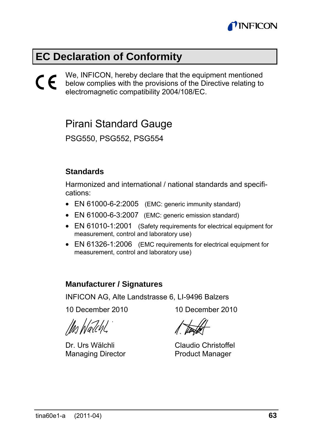

### **EC Declaration of Conformity**

We, INFICON, hereby declare that the equipment mentioned below complies with the provisions of the Directive relating to electromagnetic compatibility 2004/108/EC.  $\epsilon$ 

### Pirani Standard Gauge

PSG550, PSG552, PSG554

#### **Standards**

Harmonized and international / national standards and specifications:

- EN 61000-6-2:2005 (EMC: generic immunity standard)
- EN 61000-6-3:2007 (EMC: generic emission standard)
- EN 61010-1:2001 (Safety requirements for electrical equipment for measurement, control and laboratory use)
- EN 61326-1:2006 (EMC requirements for electrical equipment for measurement, control and laboratory use)

#### **Manufacturer / Signatures**

INFICON AG, Alte Landstrasse 6, LI-9496 Balzers

10 December 2010 10 December 2010

Dr. Urs Wälchli Managing Director

Claudio Christoffel Product Manager